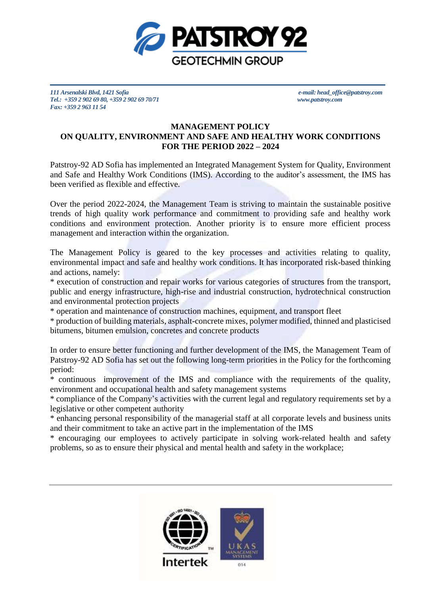

*111 Arsenalski Blvd, 1421 Sofia e-mail: head\_office@patstroy.com Tel.: +359 2 902 69 80, +359 2 902 69 70/71 [www.patstroy.com](http://www.patstroy.com/) Fax: +359 2 963 11 54* 

## **MANAGEMENT POLICY ON QUALITY, ENVIRONMENT AND SAFE AND HEALTHY WORK CONDITIONS FOR THE PERIOD 2022 – 2024**

Patstroy-92 AD Sofia has implemented an Integrated Management System for Quality, Environment and Safe and Healthy Work Conditions (IMS). According to the auditor's assessment, the IMS has been verified as flexible and effective.

Over the period 2022-2024, the Management Team is striving to maintain the sustainable positive trends of high quality work performance and commitment to providing safe and healthy work conditions and environment protection. Another priority is to ensure more efficient process management and interaction within the organization.

The Management Policy is geared to the key processes and activities relating to quality, environmental impact and safe and healthy work conditions. It has incorporated risk-based thinking and actions, namely:

\* execution of construction and repair works for various categories of structures from the transport, public and energy infrastructure, high-rise and industrial construction, hydrotechnical construction and environmental protection projects

\* operation and maintenance of construction machines, equipment, and transport fleet

\* production of building materials, asphalt-concrete mixes, polymer modified, thinned and plasticised bitumens, bitumen emulsion, concretes and concrete products

In order to ensure better functioning and further development of the IMS, the Management Team of Patstroy-92 AD Sofia has set out the following long-term priorities in the Policy for the forthcoming period:

\* continuous improvement of the IMS and compliance with the requirements of the quality, environment and occupational health and safety management systems

\* compliance of the Company's activities with the current legal and regulatory requirements set by a legislative or other competent authority

\* enhancing personal responsibility of the managerial staff at all corporate levels and business units and their commitment to take an active part in the implementation of the IMS

\* encouraging our employees to actively participate in solving work-related health and safety problems, so as to ensure their physical and mental health and safety in the workplace;